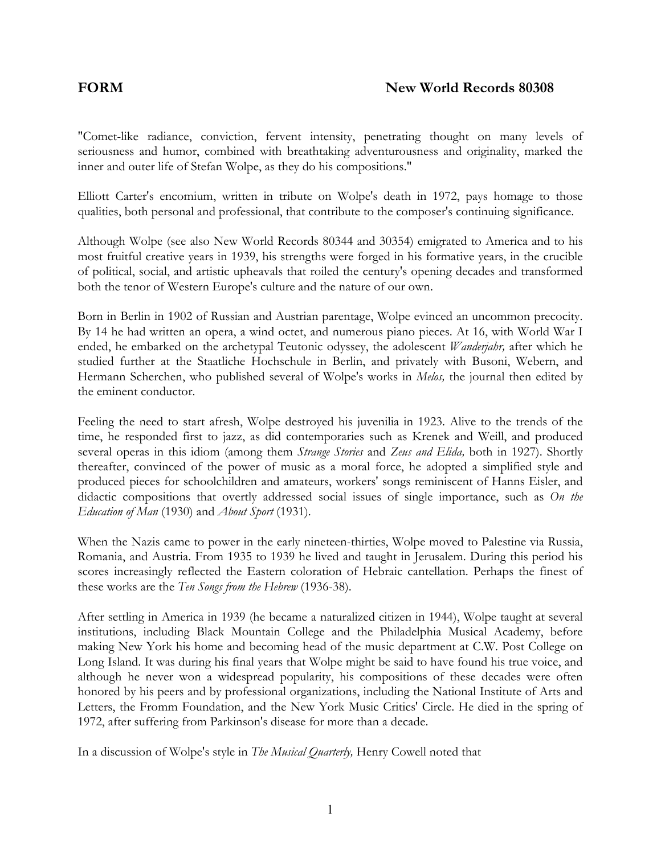"Comet-like radiance, conviction, fervent intensity, penetrating thought on many levels of seriousness and humor, combined with breathtaking adventurousness and originality, marked the inner and outer life of Stefan Wolpe, as they do his compositions."

Elliott Carter's encomium, written in tribute on Wolpe's death in 1972, pays homage to those qualities, both personal and professional, that contribute to the composer's continuing significance.

Although Wolpe (see also New World Records 80344 and 30354) emigrated to America and to his most fruitful creative years in 1939, his strengths were forged in his formative years, in the crucible of political, social, and artistic upheavals that roiled the century's opening decades and transformed both the tenor of Western Europe's culture and the nature of our own.

Born in Berlin in 1902 of Russian and Austrian parentage, Wolpe evinced an uncommon precocity. By 14 he had written an opera, a wind octet, and numerous piano pieces. At 16, with World War I ended, he embarked on the archetypal Teutonic odyssey, the adolescent *Wanderjahr,* after which he studied further at the Staatliche Hochschule in Berlin, and privately with Busoni, Webern, and Hermann Scherchen, who published several of Wolpe's works in *Melos,* the journal then edited by the eminent conductor.

Feeling the need to start afresh, Wolpe destroyed his juvenilia in 1923. Alive to the trends of the time, he responded first to jazz, as did contemporaries such as Krenek and Weill, and produced several operas in this idiom (among them *Strange Stories* and *Zeus and Elida,* both in 1927). Shortly thereafter, convinced of the power of music as a moral force, he adopted a simplified style and produced pieces for schoolchildren and amateurs, workers' songs reminiscent of Hanns Eisler, and didactic compositions that overtly addressed social issues of single importance, such as *On the Education of Man* (1930) and *About Sport* (1931).

When the Nazis came to power in the early nineteen-thirties, Wolpe moved to Palestine via Russia, Romania, and Austria. From 1935 to 1939 he lived and taught in Jerusalem. During this period his scores increasingly reflected the Eastern coloration of Hebraic cantellation. Perhaps the finest of these works are the *Ten Songs from the Hebrew* (1936-38).

After settling in America in 1939 (he became a naturalized citizen in 1944), Wolpe taught at several institutions, including Black Mountain College and the Philadelphia Musical Academy, before making New York his home and becoming head of the music department at C.W. Post College on Long Island. It was during his final years that Wolpe might be said to have found his true voice, and although he never won a widespread popularity, his compositions of these decades were often honored by his peers and by professional organizations, including the National Institute of Arts and Letters, the Fromm Foundation, and the New York Music Critics' Circle. He died in the spring of 1972, after suffering from Parkinson's disease for more than a decade.

In a discussion of Wolpe's style in *The Musical Quarterly,* Henry Cowell noted that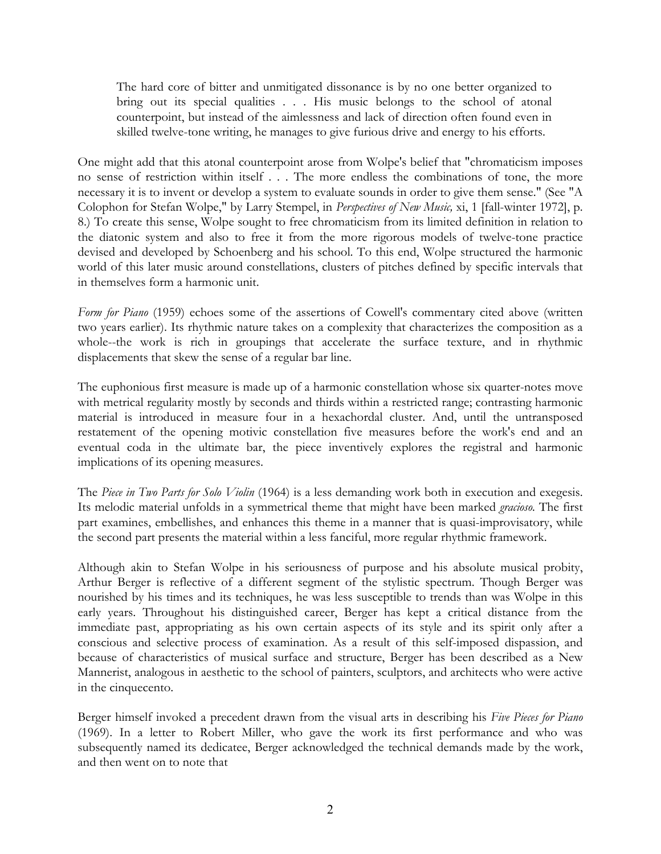The hard core of bitter and unmitigated dissonance is by no one better organized to bring out its special qualities . . . His music belongs to the school of atonal counterpoint, but instead of the aimlessness and lack of direction often found even in skilled twelve-tone writing, he manages to give furious drive and energy to his efforts.

One might add that this atonal counterpoint arose from Wolpe's belief that "chromaticism imposes no sense of restriction within itself . . . The more endless the combinations of tone, the more necessary it is to invent or develop a system to evaluate sounds in order to give them sense." (See "A Colophon for Stefan Wolpe," by Larry Stempel, in *Perspectives of New Music,* xi, 1 [fall-winter 1972], p. 8.) To create this sense, Wolpe sought to free chromaticism from its limited definition in relation to the diatonic system and also to free it from the more rigorous models of twelve-tone practice devised and developed by Schoenberg and his school. To this end, Wolpe structured the harmonic world of this later music around constellations, clusters of pitches defined by specific intervals that in themselves form a harmonic unit.

*Form for Piano* (1959) echoes some of the assertions of Cowell's commentary cited above (written two years earlier). Its rhythmic nature takes on a complexity that characterizes the composition as a whole--the work is rich in groupings that accelerate the surface texture, and in rhythmic displacements that skew the sense of a regular bar line.

The euphonious first measure is made up of a harmonic constellation whose six quarter-notes move with metrical regularity mostly by seconds and thirds within a restricted range; contrasting harmonic material is introduced in measure four in a hexachordal cluster. And, until the untransposed restatement of the opening motivic constellation five measures before the work's end and an eventual coda in the ultimate bar, the piece inventively explores the registral and harmonic implications of its opening measures.

The *Piece in Two Parts for Solo Violin* (1964) is a less demanding work both in execution and exegesis. Its melodic material unfolds in a symmetrical theme that might have been marked *gracioso.* The first part examines, embellishes, and enhances this theme in a manner that is quasi-improvisatory, while the second part presents the material within a less fanciful, more regular rhythmic framework.

Although akin to Stefan Wolpe in his seriousness of purpose and his absolute musical probity, Arthur Berger is reflective of a different segment of the stylistic spectrum. Though Berger was nourished by his times and its techniques, he was less susceptible to trends than was Wolpe in this early years. Throughout his distinguished career, Berger has kept a critical distance from the immediate past, appropriating as his own certain aspects of its style and its spirit only after a conscious and selective process of examination. As a result of this self-imposed dispassion, and because of characteristics of musical surface and structure, Berger has been described as a New Mannerist, analogous in aesthetic to the school of painters, sculptors, and architects who were active in the cinquecento.

Berger himself invoked a precedent drawn from the visual arts in describing his *Five Pieces for Piano* (1969). In a letter to Robert Miller, who gave the work its first performance and who was subsequently named its dedicatee, Berger acknowledged the technical demands made by the work, and then went on to note that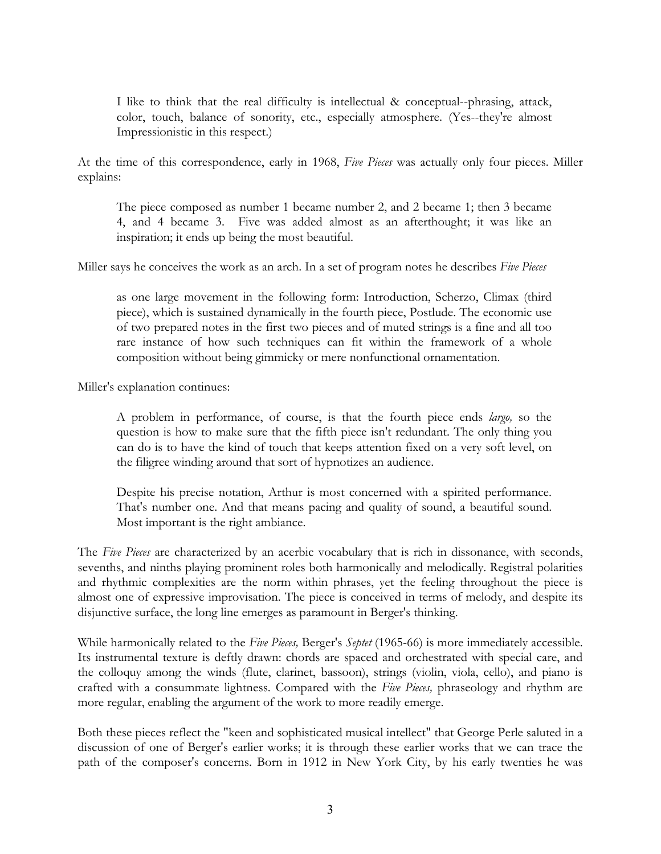I like to think that the real difficulty is intellectual & conceptual--phrasing, attack, color, touch, balance of sonority, etc., especially atmosphere. (Yes--they're almost Impressionistic in this respect.)

At the time of this correspondence, early in 1968, *Five Pieces* was actually only four pieces. Miller explains:

The piece composed as number 1 became number 2, and 2 became 1; then 3 became 4, and 4 became 3. Five was added almost as an afterthought; it was like an inspiration; it ends up being the most beautiful.

Miller says he conceives the work as an arch. In a set of program notes he describes *Five Pieces*

as one large movement in the following form: Introduction, Scherzo, Climax (third piece), which is sustained dynamically in the fourth piece, Postlude. The economic use of two prepared notes in the first two pieces and of muted strings is a fine and all too rare instance of how such techniques can fit within the framework of a whole composition without being gimmicky or mere nonfunctional ornamentation.

Miller's explanation continues:

A problem in performance, of course, is that the fourth piece ends *largo,* so the question is how to make sure that the fifth piece isn't redundant. The only thing you can do is to have the kind of touch that keeps attention fixed on a very soft level, on the filigree winding around that sort of hypnotizes an audience.

Despite his precise notation, Arthur is most concerned with a spirited performance. That's number one. And that means pacing and quality of sound, a beautiful sound. Most important is the right ambiance.

The *Five Pieces* are characterized by an acerbic vocabulary that is rich in dissonance, with seconds, sevenths, and ninths playing prominent roles both harmonically and melodically. Registral polarities and rhythmic complexities are the norm within phrases, yet the feeling throughout the piece is almost one of expressive improvisation. The piece is conceived in terms of melody, and despite its disjunctive surface, the long line emerges as paramount in Berger's thinking.

While harmonically related to the *Five Pieces,* Berger's *Septet* (1965-66) is more immediately accessible. Its instrumental texture is deftly drawn: chords are spaced and orchestrated with special care, and the colloquy among the winds (flute, clarinet, bassoon), strings (violin, viola, cello), and piano is crafted with a consummate lightness. Compared with the *Five Pieces,* phraseology and rhythm are more regular, enabling the argument of the work to more readily emerge.

Both these pieces reflect the "keen and sophisticated musical intellect" that George Perle saluted in a discussion of one of Berger's earlier works; it is through these earlier works that we can trace the path of the composer's concerns. Born in 1912 in New York City, by his early twenties he was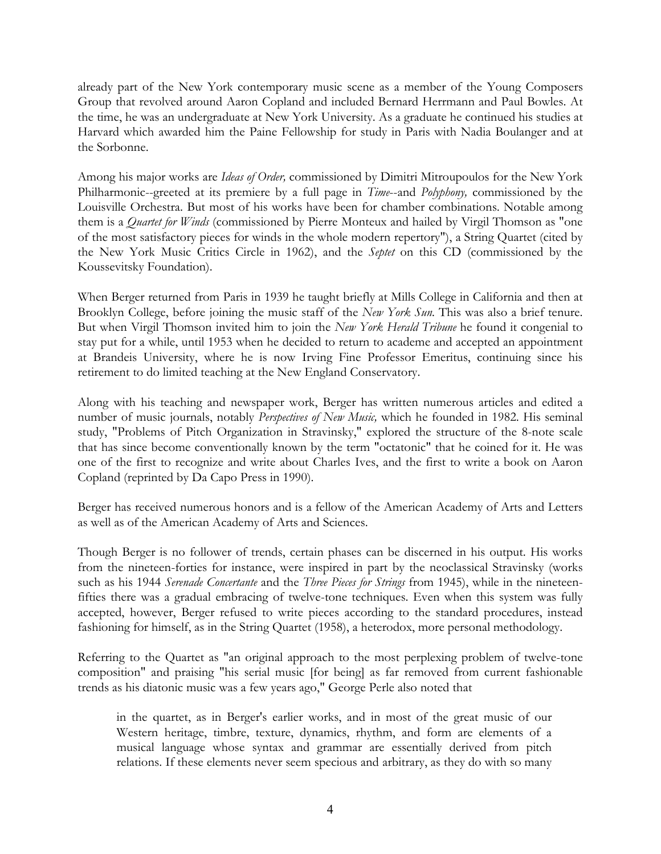already part of the New York contemporary music scene as a member of the Young Composers Group that revolved around Aaron Copland and included Bernard Herrmann and Paul Bowles. At the time, he was an undergraduate at New York University. As a graduate he continued his studies at Harvard which awarded him the Paine Fellowship for study in Paris with Nadia Boulanger and at the Sorbonne.

Among his major works are *Ideas of Order,* commissioned by Dimitri Mitroupoulos for the New York Philharmonic--greeted at its premiere by a full page in *Time*--and *Polyphony,* commissioned by the Louisville Orchestra. But most of his works have been for chamber combinations. Notable among them is a *Quartet for Winds* (commissioned by Pierre Monteux and hailed by Virgil Thomson as "one of the most satisfactory pieces for winds in the whole modern repertory"), a String Quartet (cited by the New York Music Critics Circle in 1962), and the *Septet* on this CD (commissioned by the Koussevitsky Foundation).

When Berger returned from Paris in 1939 he taught briefly at Mills College in California and then at Brooklyn College, before joining the music staff of the *New York Sun.* This was also a brief tenure. But when Virgil Thomson invited him to join the *New York Herald Tribune* he found it congenial to stay put for a while, until 1953 when he decided to return to academe and accepted an appointment at Brandeis University, where he is now Irving Fine Professor Emeritus, continuing since his retirement to do limited teaching at the New England Conservatory.

Along with his teaching and newspaper work, Berger has written numerous articles and edited a number of music journals, notably *Perspectives of New Music,* which he founded in 1982. His seminal study, "Problems of Pitch Organization in Stravinsky," explored the structure of the 8-note scale that has since become conventionally known by the term "octatonic" that he coined for it. He was one of the first to recognize and write about Charles Ives, and the first to write a book on Aaron Copland (reprinted by Da Capo Press in 1990).

Berger has received numerous honors and is a fellow of the American Academy of Arts and Letters as well as of the American Academy of Arts and Sciences.

Though Berger is no follower of trends, certain phases can be discerned in his output. His works from the nineteen-forties for instance, were inspired in part by the neoclassical Stravinsky (works such as his 1944 *Serenade Concertante* and the *Three Pieces for Strings* from 1945), while in the nineteenfifties there was a gradual embracing of twelve-tone techniques. Even when this system was fully accepted, however, Berger refused to write pieces according to the standard procedures, instead fashioning for himself, as in the String Quartet (1958), a heterodox, more personal methodology.

Referring to the Quartet as "an original approach to the most perplexing problem of twelve-tone composition" and praising "his serial music [for being] as far removed from current fashionable trends as his diatonic music was a few years ago," George Perle also noted that

in the quartet, as in Berger's earlier works, and in most of the great music of our Western heritage, timbre, texture, dynamics, rhythm, and form are elements of a musical language whose syntax and grammar are essentially derived from pitch relations. If these elements never seem specious and arbitrary, as they do with so many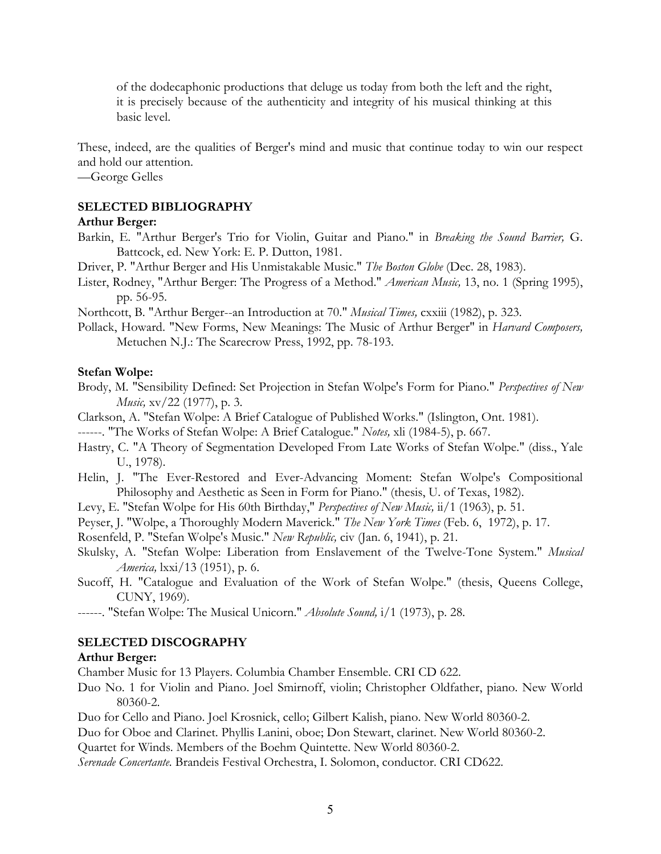of the dodecaphonic productions that deluge us today from both the left and the right, it is precisely because of the authenticity and integrity of his musical thinking at this basic level.

These, indeed, are the qualities of Berger's mind and music that continue today to win our respect and hold our attention.

—George Gelles

## **SELECTED BIBLIOGRAPHY**

### **Arthur Berger:**

- Barkin, E. "Arthur Berger's Trio for Violin, Guitar and Piano." in *Breaking the Sound Barrier,* G. Battcock, ed. New York: E. P. Dutton, 1981.
- Driver, P. "Arthur Berger and His Unmistakable Music." *The Boston Globe* (Dec. 28, 1983).
- Lister, Rodney, "Arthur Berger: The Progress of a Method." *American Music,* 13, no. 1 (Spring 1995), pp. 56-95.

Northcott, B. "Arthur Berger--an Introduction at 70." *Musical Times,* cxxiii (1982), p. 323.

Pollack, Howard. "New Forms, New Meanings: The Music of Arthur Berger" in *Harvard Composers,* Metuchen N.J.: The Scarecrow Press, 1992, pp. 78-193.

#### **Stefan Wolpe:**

- Brody, M. "Sensibility Defined: Set Projection in Stefan Wolpe's Form for Piano." *Perspectives of New Music,* xv/22 (1977), p. 3.
- Clarkson, A. "Stefan Wolpe: A Brief Catalogue of Published Works." (Islington, Ont. 1981).

------. "The Works of Stefan Wolpe: A Brief Catalogue." *Notes,* xli (1984-5), p. 667.

- Hastry, C. "A Theory of Segmentation Developed From Late Works of Stefan Wolpe." (diss., Yale U., 1978).
- Helin, J. "The Ever-Restored and Ever-Advancing Moment: Stefan Wolpe's Compositional Philosophy and Aesthetic as Seen in Form for Piano." (thesis, U. of Texas, 1982).
- Levy, E. "Stefan Wolpe for His 60th Birthday," *Perspectives of New Music,* ii/1 (1963), p. 51.
- Peyser, J. "Wolpe, a Thoroughly Modern Maverick." *The New York Times* (Feb. 6, 1972), p. 17.

Rosenfeld, P. "Stefan Wolpe's Music." *New Republic,* civ (Jan. 6, 1941), p. 21.

- Skulsky, A. "Stefan Wolpe: Liberation from Enslavement of the Twelve-Tone System." *Musical America,* lxxi/13 (1951), p. 6.
- Sucoff, H. "Catalogue and Evaluation of the Work of Stefan Wolpe." (thesis, Queens College, CUNY, 1969).
- ------. "Stefan Wolpe: The Musical Unicorn." *Absolute Sound,* i/1 (1973), p. 28.

#### **SELECTED DISCOGRAPHY**

#### **Arthur Berger:**

Chamber Music for 13 Players. Columbia Chamber Ensemble. CRI CD 622.

Duo No. 1 for Violin and Piano. Joel Smirnoff, violin; Christopher Oldfather, piano. New World 80360-2.

Duo for Cello and Piano. Joel Krosnick, cello; Gilbert Kalish, piano. New World 80360-2.

Duo for Oboe and Clarinet. Phyllis Lanini, oboe; Don Stewart, clarinet. New World 80360-2.

Quartet for Winds. Members of the Boehm Quintette. New World 80360-2.

*Serenade Concertante.* Brandeis Festival Orchestra, I. Solomon, conductor. CRI CD622.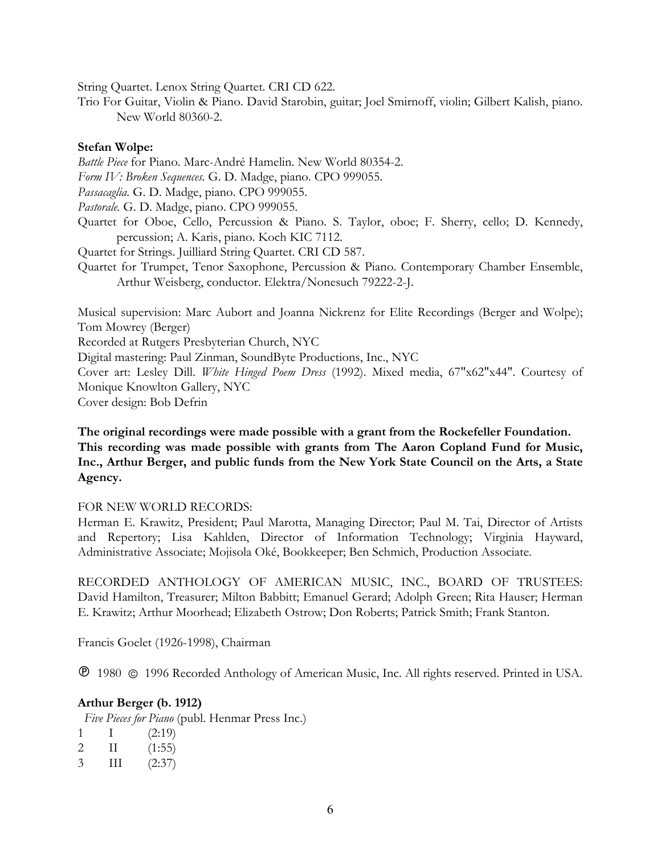String Quartet. Lenox String Quartet. CRI CD 622.

Trio For Guitar, Violin & Piano. David Starobin, guitar; Joel Smirnoff, violin; Gilbert Kalish, piano. New World 80360-2.

#### **Stefan Wolpe:**

*Battle Piece* for Piano. Marc-André Hamelin. New World 80354-2. *Form IV: Broken Sequences.* G. D. Madge, piano. CPO 999055. *Passacaglia.* G. D. Madge, piano. CPO 999055. *Pastorale.* G. D. Madge, piano. CPO 999055. Quartet for Oboe, Cello, Percussion & Piano. S. Taylor, oboe; F. Sherry, cello; D. Kennedy, percussion; A. Karis, piano. Koch KIC 7112. Quartet for Strings. Juilliard String Quartet. CRI CD 587. Quartet for Trumpet, Tenor Saxophone, Percussion & Piano. Contemporary Chamber Ensemble, Arthur Weisberg, conductor. Elektra/Nonesuch 79222-2-J. Musical supervision: Marc Aubort and Joanna Nickrenz for Elite Recordings (Berger and Wolpe); Tom Mowrey (Berger) Recorded at Rutgers Presbyterian Church, NYC

Digital mastering: Paul Zinman, SoundByte Productions, Inc., NYC

Cover art: Lesley Dill. *White Hinged Poem Dress* (1992). Mixed media, 67"x62"x44". Courtesy of Monique Knowlton Gallery, NYC

Cover design: Bob Defrin

**The original recordings were made possible with a grant from the Rockefeller Foundation. This recording was made possible with grants from The Aaron Copland Fund for Music, Inc., Arthur Berger, and public funds from the New York State Council on the Arts, a State Agency.**

## FOR NEW WORLD RECORDS:

Herman E. Krawitz, President; Paul Marotta, Managing Director; Paul M. Tai, Director of Artists and Repertory; Lisa Kahlden, Director of Information Technology; Virginia Hayward, Administrative Associate; Mojisola Oké, Bookkeeper; Ben Schmich, Production Associate.

RECORDED ANTHOLOGY OF AMERICAN MUSIC, INC., BOARD OF TRUSTEES: David Hamilton, Treasurer; Milton Babbitt; Emanuel Gerard; Adolph Green; Rita Hauser; Herman E. Krawitz; Arthur Moorhead; Elizabeth Ostrow; Don Roberts; Patrick Smith; Frank Stanton.

Francis Goelet (1926-1998), Chairman

1980 1996 Recorded Anthology of American Music, Inc. All rights reserved. Printed in USA.

## **Arthur Berger (b. 1912)**

*Five Pieces for Piano* (publ. Henmar Press Inc.)

|  | (2:19)                     |
|--|----------------------------|
|  | $  \vee$<br>$\overline{A}$ |

- 2 II (1:55) 3 III (2:37)
-